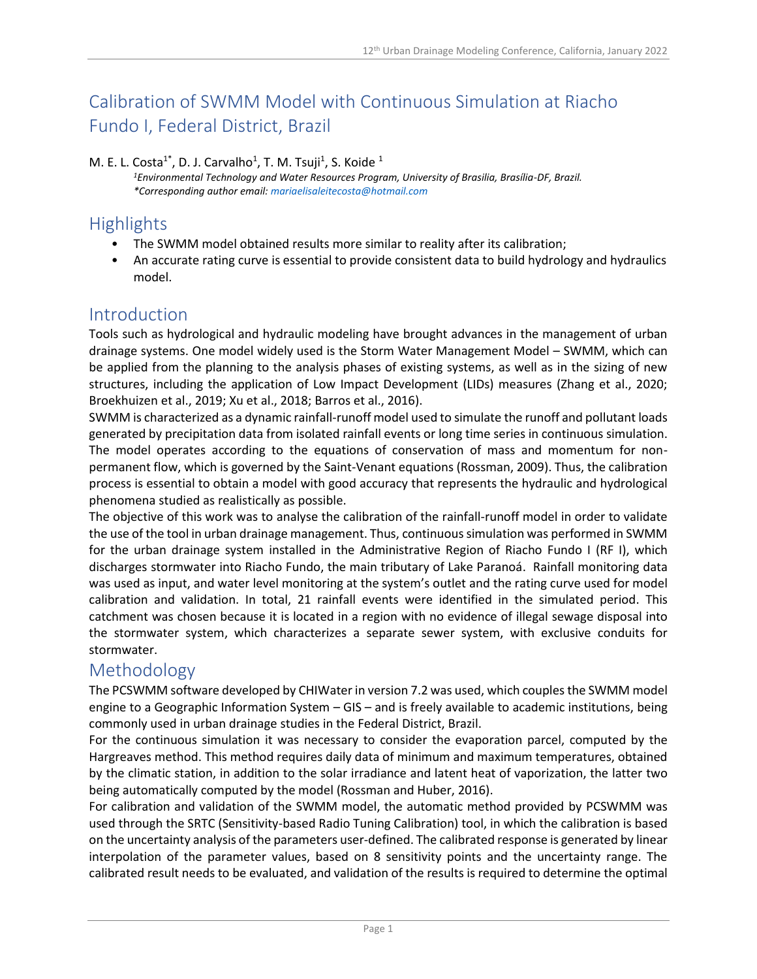# Calibration of SWMM Model with Continuous Simulation at Riacho Fundo I, Federal District, Brazil

#### M. E. L. Costa<sup>1\*</sup>, D. J. Carvalho<sup>1</sup>, T. M. Tsuji<sup>1</sup>, S. Koide <sup>1</sup>

*<sup>1</sup>Environmental Technology and Water Resources Program, University of Brasilia, Brasília-DF, Brazil. \*Corresponding author email: mariaelisaleitecosta@hotmail.com*

### **Highlights**

- The SWMM model obtained results more similar to reality after its calibration;
- An accurate rating curve is essential to provide consistent data to build hydrology and hydraulics model.

#### Introduction

Tools such as hydrological and hydraulic modeling have brought advances in the management of urban drainage systems. One model widely used is the Storm Water Management Model – SWMM, which can be applied from the planning to the analysis phases of existing systems, as well as in the sizing of new structures, including the application of Low Impact Development (LIDs) measures (Zhang et al., 2020; Broekhuizen et al., 2019; Xu et al., 2018; Barros et al., 2016).

SWMM is characterized as a dynamic rainfall-runoff model used to simulate the runoff and pollutant loads generated by precipitation data from isolated rainfall events or long time series in continuous simulation. The model operates according to the equations of conservation of mass and momentum for nonpermanent flow, which is governed by the Saint-Venant equations (Rossman, 2009). Thus, the calibration process is essential to obtain a model with good accuracy that represents the hydraulic and hydrological phenomena studied as realistically as possible.

The objective of this work was to analyse the calibration of the rainfall-runoff model in order to validate the use of the tool in urban drainage management. Thus, continuous simulation was performed in SWMM for the urban drainage system installed in the Administrative Region of Riacho Fundo I (RF I), which discharges stormwater into Riacho Fundo, the main tributary of Lake Paranoá. Rainfall monitoring data was used as input, and water level monitoring at the system's outlet and the rating curve used for model calibration and validation. In total, 21 rainfall events were identified in the simulated period. This catchment was chosen because it is located in a region with no evidence of illegal sewage disposal into the stormwater system, which characterizes a separate sewer system, with exclusive conduits for stormwater.

#### Methodology

The PCSWMM software developed by CHIWater in version 7.2 was used, which couplesthe SWMM model engine to a Geographic Information System – GIS – and is freely available to academic institutions, being commonly used in urban drainage studies in the Federal District, Brazil.

For the continuous simulation it was necessary to consider the evaporation parcel, computed by the Hargreaves method. This method requires daily data of minimum and maximum temperatures, obtained by the climatic station, in addition to the solar irradiance and latent heat of vaporization, the latter two being automatically computed by the model (Rossman and Huber, 2016).

For calibration and validation of the SWMM model, the automatic method provided by PCSWMM was used through the SRTC (Sensitivity-based Radio Tuning Calibration) tool, in which the calibration is based on the uncertainty analysis of the parameters user-defined. The calibrated response is generated by linear interpolation of the parameter values, based on 8 sensitivity points and the uncertainty range. The calibrated result needs to be evaluated, and validation of the results is required to determine the optimal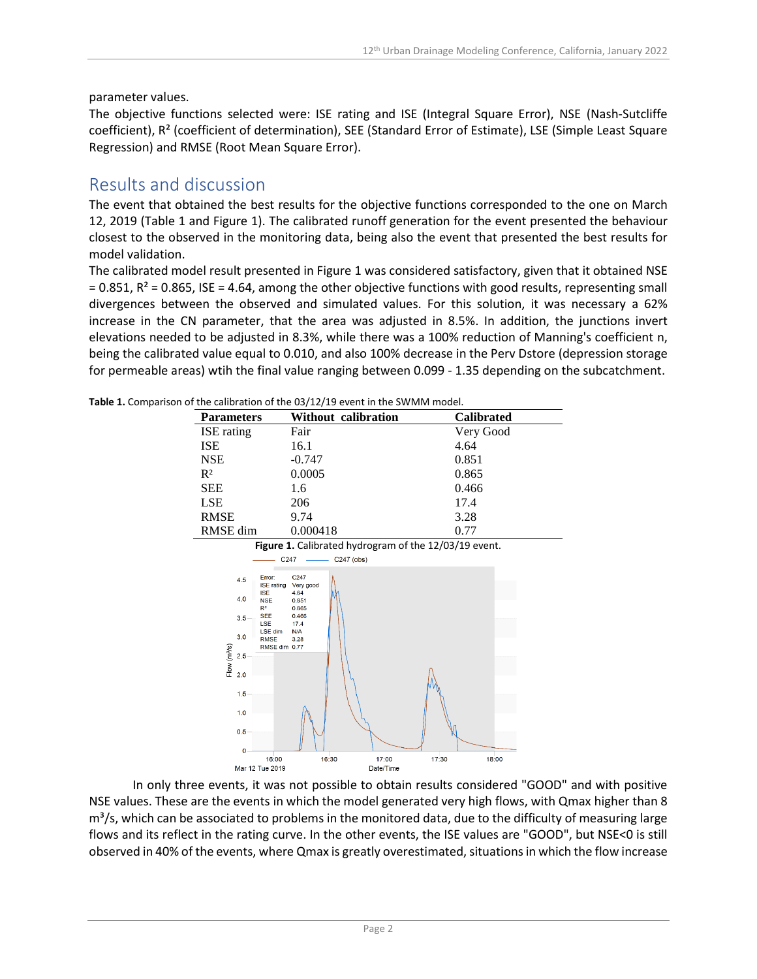#### parameter values.

The objective functions selected were: ISE rating and ISE (Integral Square Error), NSE (Nash-Sutcliffe coefficient), R² (coefficient of determination), SEE (Standard Error of Estimate), LSE (Simple Least Square Regression) and RMSE (Root Mean Square Error).

#### Results and discussion

The event that obtained the best results for the objective functions corresponded to the one on March 12, 2019 (Table 1 and Figure 1). The calibrated runoff generation for the event presented the behaviour closest to the observed in the monitoring data, being also the event that presented the best results for model validation.

The calibrated model result presented in Figure 1 was considered satisfactory, given that it obtained NSE  $= 0.851$ , R<sup>2</sup> = 0.865, ISE = 4.64, among the other objective functions with good results, representing small divergences between the observed and simulated values. For this solution, it was necessary a 62% increase in the CN parameter, that the area was adjusted in 8.5%. In addition, the junctions invert elevations needed to be adjusted in 8.3%, while there was a 100% reduction of Manning's coefficient n, being the calibrated value equal to 0.010, and also 100% decrease in the Perv Dstore (depression storage for permeable areas) wtih the final value ranging between 0.099 - 1.35 depending on the subcatchment.

| or the callbration or the OS/12/13 event in the SWIMM model. |                   |                     |                   |
|--------------------------------------------------------------|-------------------|---------------------|-------------------|
|                                                              | <b>Parameters</b> | Without calibration | <b>Calibrated</b> |
|                                                              | <b>ISE</b> rating | Fair                | Very Good         |
|                                                              | <b>ISE</b>        | 16.1                | 4.64              |
|                                                              | <b>NSE</b>        | $-0.747$            | 0.851             |
|                                                              | $R^2$             | 0.0005              | 0.865             |
|                                                              | <b>SEE</b>        | 1.6                 | 0.466             |
|                                                              | <b>LSE</b>        | 206                 | 17.4              |
|                                                              | <b>RMSE</b>       | 9.74                | 3.28              |
|                                                              | RMSE dim          | 0.000418            | 0.77              |
|                                                              |                   |                     |                   |

**Table 1.** Comparison of the calibration of the 03/12/19 event in the SWMM model.



In only three events, it was not possible to obtain results considered "GOOD" and with positive NSE values. These are the events in which the model generated very high flows, with Qmax higher than 8  $m<sup>3</sup>/s$ , which can be associated to problems in the monitored data, due to the difficulty of measuring large flows and its reflect in the rating curve. In the other events, the ISE values are "GOOD", but NSE<0 is still observed in 40% of the events, where Qmax is greatly overestimated, situations in which the flow increase